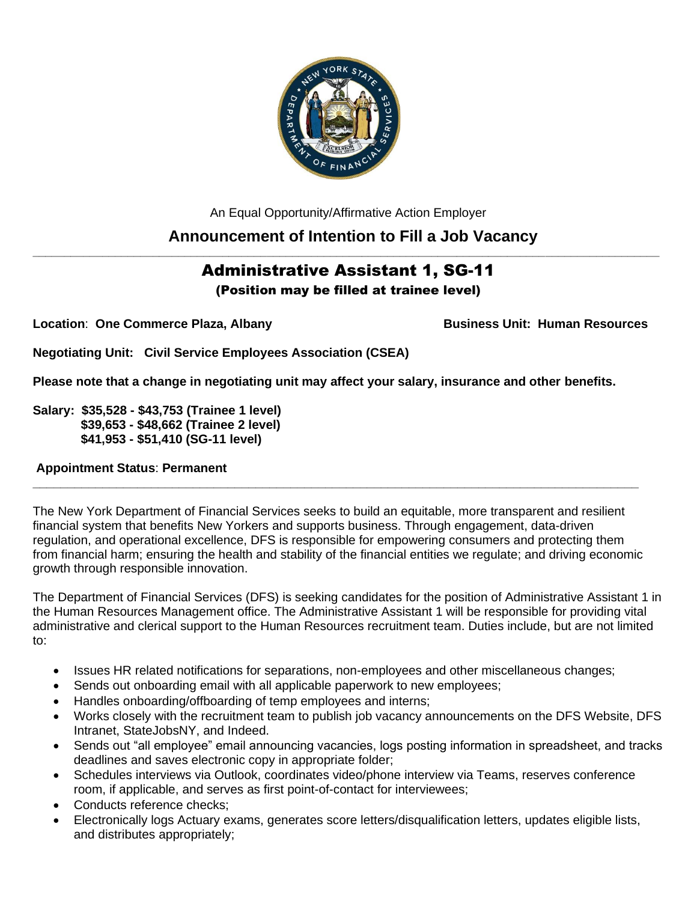

An Equal Opportunity/Affirmative Action Employer **Announcement of Intention to Fill a Job Vacancy**

# Administrative Assistant 1, SG-11 (Position may be filled at trainee level)

**\_\_\_\_\_\_\_\_\_\_\_\_\_\_\_\_\_\_\_\_\_\_\_\_\_\_\_\_\_\_\_\_\_\_\_\_\_\_\_\_\_\_\_\_\_\_\_\_\_\_\_\_\_\_\_\_\_\_\_\_\_\_\_\_\_\_\_\_\_\_\_\_\_\_\_\_\_\_\_\_\_\_\_\_\_\_\_\_\_\_\_\_\_\_\_\_\_\_\_**

**Location: One Commerce Plaza, Albany Business Unit: Human Resources** 

**Negotiating Unit: Civil Service Employees Association (CSEA)**

**Please note that a change in negotiating unit may affect your salary, insurance and other benefits.**

**Salary: \$35,528 - \$43,753 (Trainee 1 level) \$39,653 - \$48,662 (Trainee 2 level) \$41,953 - \$51,410 (SG-11 level)**

## **Appointment Status**: **Permanent**

The New York Department of Financial Services seeks to build an equitable, more transparent and resilient financial system that benefits New Yorkers and supports business. Through engagement, data-driven regulation, and operational excellence, DFS is responsible for empowering consumers and protecting them from financial harm; ensuring the health and stability of the financial entities we regulate; and driving economic growth through responsible innovation.

**\_\_\_\_\_\_\_\_\_\_\_\_\_\_\_\_\_\_\_\_\_\_\_\_\_\_\_\_\_\_\_\_\_\_\_\_\_\_\_\_\_\_\_\_\_\_\_\_\_\_\_\_\_\_\_\_\_\_\_\_\_\_\_\_\_\_\_\_\_\_\_\_\_\_\_\_\_\_\_\_\_\_\_\_\_\_\_**

The Department of Financial Services (DFS) is seeking candidates for the position of Administrative Assistant 1 in the Human Resources Management office. The Administrative Assistant 1 will be responsible for providing vital administrative and clerical support to the Human Resources recruitment team. Duties include, but are not limited to:

- Issues HR related notifications for separations, non-employees and other miscellaneous changes;
- Sends out onboarding email with all applicable paperwork to new employees;
- Handles onboarding/offboarding of temp employees and interns;
- Works closely with the recruitment team to publish job vacancy announcements on the DFS Website, DFS Intranet, StateJobsNY, and Indeed.
- Sends out "all employee" email announcing vacancies, logs posting information in spreadsheet, and tracks deadlines and saves electronic copy in appropriate folder;
- Schedules interviews via Outlook, coordinates video/phone interview via Teams, reserves conference room, if applicable, and serves as first point-of-contact for interviewees;
- Conducts reference checks:
- Electronically logs Actuary exams, generates score letters/disqualification letters, updates eligible lists, and distributes appropriately;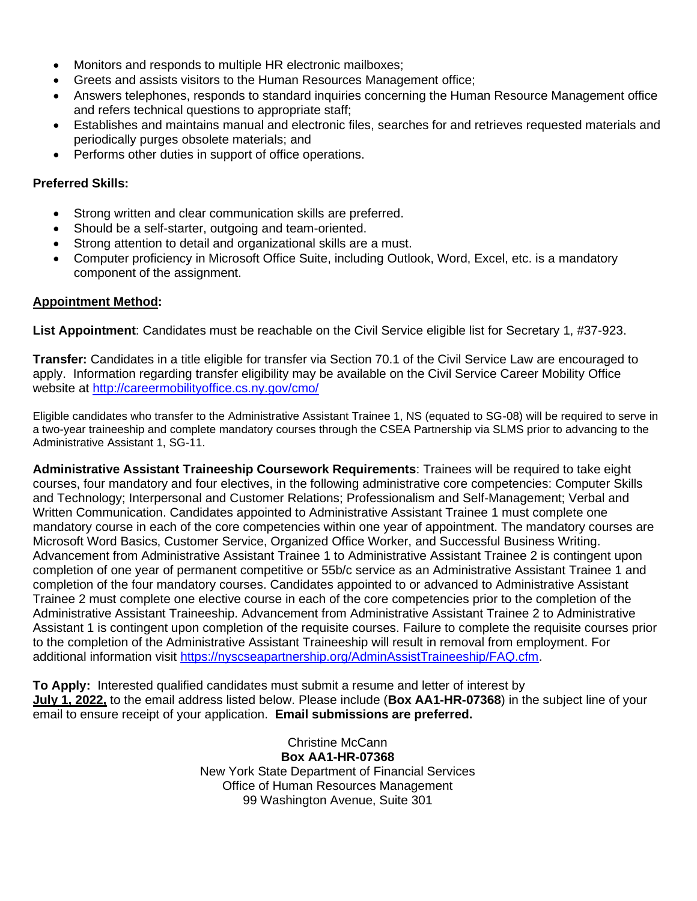- Monitors and responds to multiple HR electronic mailboxes;
- Greets and assists visitors to the Human Resources Management office;
- Answers telephones, responds to standard inquiries concerning the Human Resource Management office and refers technical questions to appropriate staff;
- Establishes and maintains manual and electronic files, searches for and retrieves requested materials and periodically purges obsolete materials; and
- Performs other duties in support of office operations.

### **Preferred Skills:**

- Strong written and clear communication skills are preferred.
- Should be a self-starter, outgoing and team-oriented.
- Strong attention to detail and organizational skills are a must.
- Computer proficiency in Microsoft Office Suite, including Outlook, Word, Excel, etc. is a mandatory component of the assignment.

#### **Appointment Method:**

**List Appointment**: Candidates must be reachable on the Civil Service eligible list for Secretary 1, #37-923.

**Transfer:** Candidates in a title eligible for transfer via Section 70.1 of the Civil Service Law are encouraged to apply. Information regarding transfer eligibility may be available on the Civil Service Career Mobility Office website at<http://careermobilityoffice.cs.ny.gov/cmo/>

Eligible candidates who transfer to the Administrative Assistant Trainee 1, NS (equated to SG-08) will be required to serve in a two-year traineeship and complete mandatory courses through the CSEA Partnership via SLMS prior to advancing to the Administrative Assistant 1, SG-11.

**Administrative Assistant Traineeship Coursework Requirements**: Trainees will be required to take eight courses, four mandatory and four electives, in the following administrative core competencies: Computer Skills and Technology; Interpersonal and Customer Relations; Professionalism and Self-Management; Verbal and Written Communication. Candidates appointed to Administrative Assistant Trainee 1 must complete one mandatory course in each of the core competencies within one year of appointment. The mandatory courses are Microsoft Word Basics, Customer Service, Organized Office Worker, and Successful Business Writing. Advancement from Administrative Assistant Trainee 1 to Administrative Assistant Trainee 2 is contingent upon completion of one year of permanent competitive or 55b/c service as an Administrative Assistant Trainee 1 and completion of the four mandatory courses. Candidates appointed to or advanced to Administrative Assistant Trainee 2 must complete one elective course in each of the core competencies prior to the completion of the Administrative Assistant Traineeship. Advancement from Administrative Assistant Trainee 2 to Administrative Assistant 1 is contingent upon completion of the requisite courses. Failure to complete the requisite courses prior to the completion of the Administrative Assistant Traineeship will result in removal from employment. For additional information visit [https://nyscseapartnership.org/AdminAssistTraineeship/FAQ.cfm.](https://nyscseapartnership.org/AdminAssistTraineeship/FAQ.cfm)

**To Apply:** Interested qualified candidates must submit a resume and letter of interest by **July 1, 2022,** to the email address listed below. Please include (**Box AA1-HR-07368**) in the subject line of your email to ensure receipt of your application. **Email submissions are preferred.** 

> Christine McCann **Box AA1-HR-07368** New York State Department of Financial Services Office of Human Resources Management 99 Washington Avenue, Suite 301